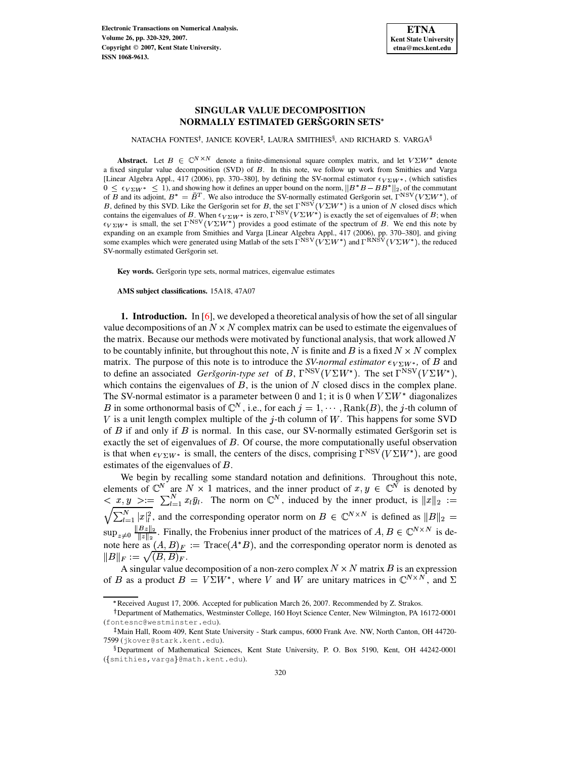# **SINGULAR VALUE DECOMPOSITION NORMALLY ESTIMATED GERSGORIN ˇ SETS**

NATACHA FONTES†, JANICE KOVER‡, LAURA SMITHIES $\S$ , AND RICHARD S. VARGA $\S$ 

**Abstract.** Let  $B \in \mathbb{C}^{N \times N}$  denote a finite-dimensional square complex matrix, and let  $V\Sigma W^*$  denote a fixed singular value decomposition (SVD) of B. In this note, we follow up work from Smithies and Varga [Linear Algebra Appl., 417 (2006), pp. 370–380], by defining the SV-normal estimator  $\epsilon_{V\Sigma}W^*$ , (which satisfies  $0 \leq \epsilon_{V\Sigma} w^* \leq 1$ ), and showing how it defines an upper bound on the norm,  $||B^*B - BB^*||_2$ , of the commutant of B and its adjoint,  $B^* = B^T$ . We also introduce the SV-normally estimated Gersgorin set,  $\Gamma^{NSV}(V\Sigma W^*)$ , of B, defined by this SVD. Like the Geršgorin set for B, the set  $\Gamma^{NSV}(V\Sigma W^*)$  is a union of N closed discs which contains the eigenvalues of B. When  $\epsilon_{V\Sigma W^*}$  is zero,  $\Gamma^{NSV}(V\Sigma W^*)$  is exactly the set of eigenvalues of B; when  $\epsilon_{V\Sigma W^*}$  is small, the set  $\Gamma^{NSV}(V\Sigma W^*)$  provides a good estimate of the spectrum of B. We end this note by expanding on an example from Smithies and Varga [Linear Algebra Appl., 417 (2006), pp. 370–380], and giving some examples which were generated using Matlab of the sets  $\Gamma^{NSV}(V\Sigma W^*)$  and  $\Gamma^{RNSV}(V\Sigma W^*)$ , the reduced SV-normally estimated Geršgorin set.

**Key** words. Geršgorin type sets, normal matrices, eigenvalue estimates

**AMS subject classifications.** 15A18, 47A07

**1. Introduction.** In [\[6\]](#page-9-0), we developed a theoretical analysis of how the set of all singular value decompositions of an  $N \times N$  complex matrix can be used to estimate the eigenvalues of the matrix. Because our methods were motivated by functional analysis, that work allowed  $N$ to be countably infinite, but throughout this note, N is finite and B is a fixed  $N \times N$  complex matrix. The purpose of this note is to introduce the *SV-normal estimator*  $\epsilon_{V\Sigma W^*}$ , of *B* and to define an associated *Geršgorin-type set* of B,  $\Gamma^{NSV}(V\Sigma W^*)$ . The set  $\Gamma^{NSV}(V\Sigma W^*),$ which contains the eigenvalues of  $B$ , is the union of  $N$  closed discs in the complex plane. The SV-normal estimator is a parameter between 0 and 1; it is 0 when  $V\Sigma W^*$  diagonalizes B in some orthonormal basis of  $\mathbb{C}^N$ , i.e., for each  $j = 1, \cdots, \text{Rank}(B)$ , the j-th column of V is a unit length complex multiple of the j-th column of  $W$ . This happens for some SVD of  $B$  if and only if  $B$  is normal. In this case, our SV-normally estimated Gersgorin set is exactly the set of eigenvalues of  $B$ . Of course, the more computationally useful observation is that when  $\epsilon_{V\Sigma}W^*$  is small, the centers of the discs, comprising  $\Gamma^{NSV}(V\Sigma W^*)$ , are good estimates of the eigenvalues of  $B$ .

We begin by recalling some standard notation and definitions. Throughout this note, elements of  $\mathbb{C}^N$  are  $N \times 1$  matrices, and the inner product of  $x,y \in \mathbb{C}^N$  is denoted by  $\langle x, y \rangle := \sum_{l=1}^{N} x_l \bar{y}_l$ . The norm on  $\mathbb{C}^N$ , induced by the inner product, is  $||x||_2 :=$  $\sum_{l=1}^{N} |x|_{l}^{2}$ , and the corresponding operator norm on  $B \in \mathbb{C}^{N \times N}$  is defined as  $||B||_{2} =$  $\sup_{z\neq 0} \frac{\|Bz\|_2}{\|z\|_2}$ . Finally, the Frobenius inner product of the matrices of  $A, B \in \mathbb{C}^{N \times N}$  is denote here as  $(A, B)_F := \text{Trace}(A^*B)$ , and the corresponding operator norm is denoted as  $||B||_F:=\sqrt{(B,B)_F}.$ 

A singular value decomposition of a non-zero complex  $N \times N$  matrix B is an expression of B as a product  $B = V\Sigma W^*$ , where V and W are unitary matrices in  $\mathbb{C}^{N \times N}$ , and  $\Sigma$ 

Received August 17, 2006. Accepted for publication March 26, 2007. Recommended by Z. Strakos.

<sup>&</sup>lt;sup>†</sup> Department of Mathematics, Westminster College, 160 Hoyt Science Center, New Wilmington, PA 16172-0001 (fontesnc@westminster.edu).

<sup>-</sup> Main Hall, Room 409, Kent State University - Stark campus, 6000 Frank Ave. NW, North Canton, OH 44720- 7599 (jkover@stark.kent.edu).

Department of Mathematical Sciences, Kent State University, P. O. Box 5190, Kent, OH 44242-0001 ({smithies, varga}@math.kent.edu).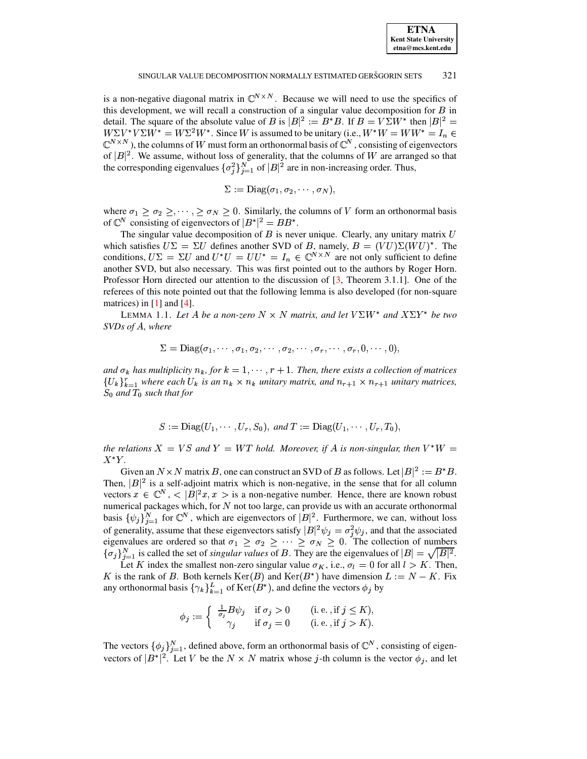#### SINGULAR VALUE DECOMPOSITION NORMALLY ESTIMATED GERŠGORIN SETS 321

is a non-negative diagonal matrix in  $\mathbb{C}^{N \times N}$ . Because we will need to use the specifics of this development, we will recall a construction of a singular value decomposition for  $B$  in detail. The square of the absolute value of B is  $|B|^2 := B^*B$ . If  $B = V\Sigma W^*$  then  $|B|^2 =$  $W\Sigma V^*V\Sigma W^* = W\Sigma^2 W^*$ . Since  $W$  is assumed to be unitary (i.e.,  $W^*W = WW^* = I_n \in$  $\mathbb{C}^{N\times N}$ ), the columns of W must form an orthonormal basis of  $\mathbb{C}^N$ , consisting of eigenvectors of  $|B|^2$ . We assume, without loss of generality, that the columns of W are arranged so that the corresponding eigenvalues  $\{\sigma_i^2\}_{i=1}^N$  of  $|B|^2$  are in non-increasing order. Thus,

$$
\Sigma := \mathrm{Diag}(\sigma_1, \sigma_2, \cdots, \sigma_N),
$$

where  $\sigma_1 \geq \sigma_2 \geq \cdots$ ,  $\geq \sigma_N \geq 0$ . Similarly, the columns of V form an orthonormal basis of  $\mathbb{C}^N$  consisting of eigenvectors of  $|B^*|^2 = BB^*$ .

The singular value decomposition of  $B$  is never unique. Clearly, any unitary matrix  $U$ which satisfies  $U\Sigma = \Sigma U$  defines another SVD of B, namely,  $B = (VU)\Sigma(WU)^*$ . The conditions,  $U\Sigma = \Sigma U$  and  $U^*U = UU^* = I_n \in \mathbb{C}^{N \times N}$  are not only sufficient to define another SVD, but also necessary. This was first pointed out to the authors by Roger Horn. Professor Horn directed our attention to the discussion of [\[3,](#page-9-1) Theorem 3.1.1]. One of the referees of this note pointed out that the following lemma is also developed (for non-square matrices) in  $[1]$  and  $[4]$ .

<span id="page-1-0"></span>LEMMA 1.1. Let A be a non-zero  $N \times N$  matrix, and let  $V\Sigma W^*$  and  $X\Sigma Y^*$  be two *SVDs of A*, *where* 

$$
\Sigma = \text{Diag}(\sigma_1, \cdots, \sigma_1, \sigma_2, \cdots, \sigma_2, \cdots, \sigma_r, \cdots, \sigma_r, 0, \cdots, 0),
$$

*and*  $\sigma_k$  *has multiplicity*  $n_k$ , *for*  $k = 1, \dots, r + 1$ . *Then, there exists a collection of matrices*  ${U_k}_{k=1}^r$  where each  $U_k$  is an  $n_k \times n_k$  unitary matrix, and  $n_{r+1} \times n_{r+1}$  unitary matrices,  $S_0$  and  $T_0$  such that for

$$
S := \text{Diag}(U_1, \cdots, U_r, S_0), \text{ and } T := \text{Diag}(U_1, \cdots, U_r, T_0),
$$

*the relations*  $X = VS$  *and*  $Y = WT$  *hold. Moreover, if*  $A$  *is non-singular, then*  $V^*W =$  $X^*Y$ .

Given an  $N \times N$  matrix B, one can construct an SVD of B as follows. Let  $|B|^2 := B^*B$ . Then,  $|B|^2$  is a self-adjoint matrix which is non-negative, in the sense that for all column vectors  $x \in \mathbb{C}^N$ ,  $\langle B|^2 x, x \rangle$  is a non-negative number. Hence, there are known robust numerical packages which, for  $N$  not too large, can provide us with an accurate orthonormal basis  $\{\psi_i\}_{i=1}^N$  for  $\mathbb{C}^N$ , which are eigenvectors of  $|B|^2$ . Furthermore, we can, without loss of generality, assume that these eigenvectors satisfy  $|B|^2 \psi_j = \sigma_j^2 \psi_j$ , and that the associated eigenvalues are ordered so that  $\sigma_1 \ge \sigma_2 \ge \cdots \ge \sigma_N \ge 0$ . The collection of numbers  $\{\sigma_i\}_{i=1}^N$  is called the set of *singular values* of B. They are the eigenvalues of  $|B| = \sqrt{|B|^2}$ .

Let K index the smallest non-zero singular value  $\sigma_K$ , i.e.,  $\sigma_l = 0$  for all  $l > K$ . Then, K is the rank of B. Both kernels  $\text{Ker}(B)$  and  $\text{Ker}(B^*)$  have dimension  $L := N - K$ . Fix any orthonormal basis  $\{\gamma_k\}_{k=1}^L$  of  $\text{Ker}(B^*)$ , and define the vectors  $\phi_i$  by

$$
\phi_j := \begin{cases} \frac{1}{\sigma_j} B \psi_j & \text{if } \sigma_j > 0 & (\text{i.e., if } j \le K), \\ \gamma_j & \text{if } \sigma_j = 0 & (\text{i.e., if } j > K). \end{cases}
$$

The vectors  $\{\phi_j\}_{i=1}^N$ , defined above, form an orthonormal basis of  $\mathbb{C}^N$ , consisting of eigenvectors of  $|B^*|^2$ . Let V be the  $N \times N$  matrix whose j-th column is the vector  $\phi_j$ , and let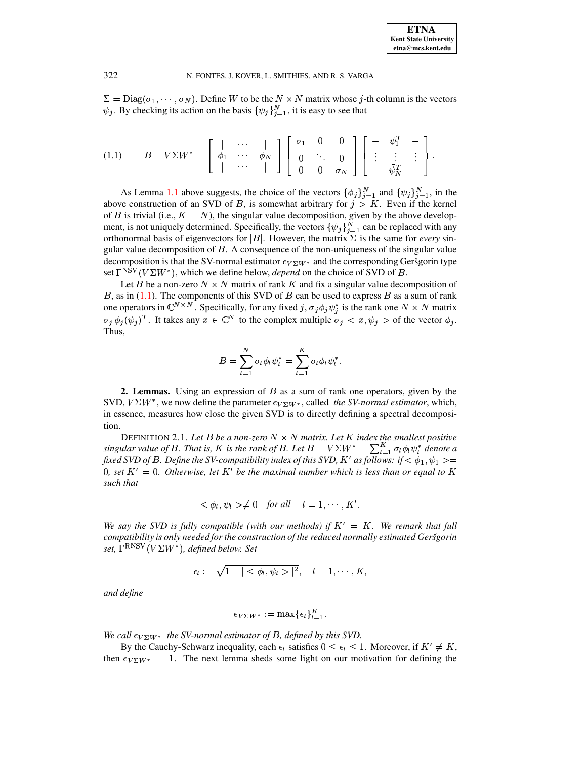<span id="page-2-0"></span> $\Sigma = \text{Diag}(\sigma_1, \dots, \sigma_N)$ . Define W to be the  $N \times N$  matrix whose j-th column is the vectors  $\psi_j$ . By checking its action on the basis  $\{\psi_j\}_{j=1}^N$ , it is easy to see that

$$
(1.1) \qquad B = V\Sigma W^* = \left[ \begin{array}{cccc} | & \cdots & | \\ \phi_1 & \cdots & \phi_N \\ | & \cdots & | \end{array} \right] \left[ \begin{array}{cccc} \sigma_1 & 0 & 0 \\ 0 & \ddots & 0 \\ 0 & 0 & \sigma_N \end{array} \right] \left[ \begin{array}{cccc} - & \bar{\psi}_1^T & - \\ \vdots & \vdots & \vdots \\ - & \bar{\psi}_N^T & - \end{array} \right]
$$

As Lemma 1.1 above suggests, the choice of the vectors  $\{\phi_j\}_{j=1}^N$  and  $\{\psi_j\}_{j=1}^N$ , in the above construction of an SVD of B, is somewhat arbitrary for  $j > K$ . Even if the kernel of B is trivial (i.e.,  $K = N$ ), the singular value decomposition, given by the above development, is not uniquely determined. Specifically, the vectors  $\{\psi_j\}_{j=1}^N$  can be replaced with any orthonormal basis of eigenvectors for |B|. However, the matrix  $\Sigma$  is the same for *every* singular value decomposition of  $B$ . A consequence of the non-uniqueness of the singular value decomposition is that the SV-normal estimator  $\epsilon_{V\Sigma}W^*$  and the corresponding Geršgorin type set  $\Gamma^{NSV}(V\Sigma W^*)$ , which we define below, *depend* on the choice of SVD of *B*.

Let B be a non-zero  $N \times N$  matrix of rank K and fix a singular value decomposition of B, as in  $(1.1)$ . The components of this SVD of B can be used to express B as a sum of rank one operators in  $\mathbb{C}^{N\times N}$ . Specifically, for any fixed j,  $\sigma_j\phi_j\psi_j^*$  is the rank one  $N\times N$  matrix  $\sigma_j \phi_j(\bar{\psi}_j)^T$ . It takes any  $x \in \mathbb{C}^N$  to the complex multiple  $\sigma_j < x, \psi_j > 0$  the vector  $\phi_j$ . Thus,

$$
B = \sum_{l=1}^{N} \sigma_l \phi_l \psi_l^* = \sum_{l=1}^{K} \sigma_l \phi_l \psi_l^*
$$

**2. Lemmas.** Using an expression of  $B$  as a sum of rank one operators, given by the SVD,  $V\Sigma W^*$ , we now define the parameter  $\epsilon_{V\Sigma W^*}$ , called the SV-normal estimator, which, in essence, measures how close the given SVD is to directly defining a spectral decomposition.

<span id="page-2-1"></span>DEFINITION 2.1. Let B be a non-zero  $N \times N$  matrix. Let K index the smallest positive singular value of B. That is, K is the rank of B. Let  $B = V \Sigma W^* = \sum_{l=1}^K \sigma_l \phi_l \psi_l^*$  denote a fixed SVD of B. Define the SV-compatibility index of this SVD, K' as follows: if  $\langle \phi_1, \psi_1 \rangle =$ 0, set  $K' = 0$ . Otherwise, let K' be the maximal number which is less than or equal to K such that

$$
<\phi_l, \psi_l> \neq 0
$$
 for all  $l = 1, \dots, K'$ .

We say the SVD is fully compatible (with our methods) if  $K' = K$ . We remark that full compatibility is only needed for the construction of the reduced normally estimated Geršgorin set,  $\Gamma^{\rm RNSV}(V\Sigma W^*)$ , defined below. Set

$$
\epsilon_l:=\sqrt{1-|<\phi_l,\psi_l>|^2},\quad l=1,\cdots,K,
$$

and define

$$
\epsilon_{V\Sigma W^*} := \max\{\epsilon_l\}_{l=1}^K
$$

We call  $\epsilon_{V\Sigma}$ *w*<sup>\*</sup> the SV-normal estimator of B, defined by this SVD.

By the Cauchy-Schwarz inequality, each  $\epsilon_l$  satisfies  $0 \leq \epsilon_l \leq 1$ . Moreover, if  $K' \neq K$ , then  $\epsilon_{V\Sigma W^*} = 1$ . The next lemma sheds some light on our motivation for defining the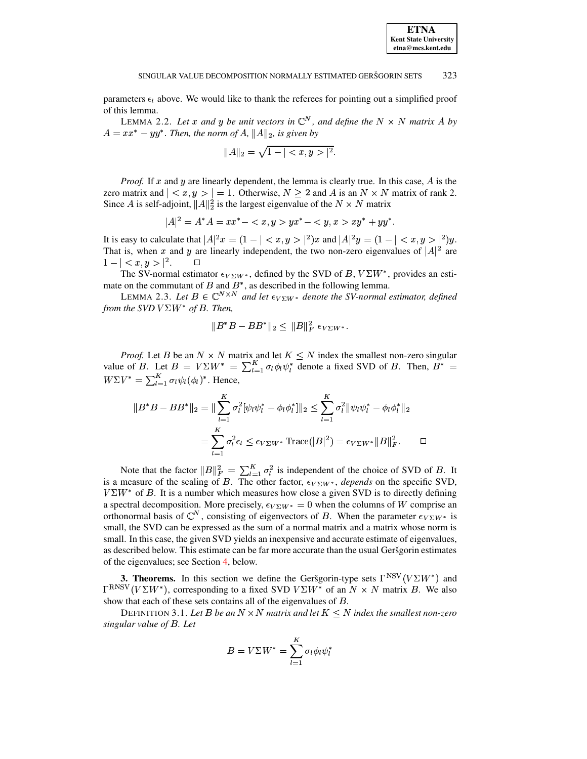parameters  $\epsilon_l$  above. We would like to thank the referees for pointing out a simplified proof of this lemma.

LEMMA 2.2. Let x and y be unit vectors in  $\mathbb{C}^N$ , and define the  $N \times N$  matrix A by  $A = xx^* - yy^*$ . Then, the norm of A,  $||A||_2$ , is given by

$$
||A||_2 = \sqrt{1 - ||^2}.
$$

*Proof.* If x and y are linearly dependent, the lemma is clearly true. In this case, A is the zero matrix and  $| \langle x, y \rangle | = 1$ . Otherwise,  $N \ge 2$  and A is an  $N \times N$  matrix of rank 2. Since A is self-adjoint,  $||A||_2^2$  is the largest eigenvalue of the  $N \times N$  matrix

$$
|A|^2 = A^*A = xx^* - \langle x, y \rangle yx^* - \langle y, x \rangle xy^* + yy^*
$$

It is easy to calculate that  $|A|^2x = (1 - | \langle x, y \rangle |^2)x$  and  $|A|^2y = (1 - | \langle x, y \rangle |^2)y$ . That is, when x and y are linearly independent, the two non-zero eigenvalues of  $|A|^2$  are  $1 - | \langle x, y \rangle |^2$ .

The SV-normal estimator  $\epsilon_{V\Sigma W^*}$ , defined by the SVD of B,  $V\Sigma W^*$ , provides an estimate on the commutant of B and B<sup>\*</sup>, as described in the following lemma.<br>LEMMA 2.3. Let  $B \in \mathbb{C}^{N \times N}$  and let  $\epsilon_{V\Sigma}W^*$  denote the SV-normal estimator, defined

from the SVD  $V\Sigma W^*$  of B. Then,

$$
||B^*B - BB^*||_2 \le ||B||_F^2 \epsilon_{V\Sigma W^*}.
$$

*Proof.* Let B be an  $N \times N$  matrix and let  $K \leq N$  index the smallest non-zero singular value of B. Let  $B = V\Sigma W^* = \sum_{l=1}^K \sigma_l \phi_l \psi_l^*$  denote a fixed SVD of B. Then,  $B^* =$  $W\Sigma V^* = \sum_{l=1}^K \sigma_l \psi_l(\phi_l)^*$ . Hence,

$$
||B^*B - BB^*||_2 = ||\sum_{l=1}^K \sigma_l^2 [\psi_l \psi_l^* - \phi_l \phi_l^*]||_2 \le \sum_{l=1}^K \sigma_l^2 ||\psi_l \psi_l^* - \phi_l \phi_l^*||_2
$$
  
= 
$$
\sum_{l=1}^K \sigma_l^2 \epsilon_l \le \epsilon_{V\Sigma W^*} \text{Trace}(|B|^2) = \epsilon_{V\Sigma W^*} ||B||_F^2.
$$

Note that the factor  $||B||_F^2 = \sum_{l=1}^K \sigma_l^2$  is independent of the choice of SVD of B. It is a measure of the scaling of B. The other factor,  $\epsilon_{V\Sigma W^*}$ , depends on the specific SVD,  $V\Sigma W^*$  of B. It is a number which measures how close a given SVD is to directly defining a spectral decomposition. More precisely,  $\epsilon_{V\Sigma W^*} = 0$  when the columns of W comprise an orthonormal basis of  $\mathbb{C}^N$ , consisting of eigenvectors of B. When the parameter  $\epsilon_{V\Sigma}W^*$  is small, the SVD can be expressed as the sum of a normal matrix and a matrix whose norm is small. In this case, the given SVD yields an inexpensive and accurate estimate of eigenvalues, as described below. This estimate can be far more accurate than the usual Geršgorin estimates of the eigenvalues; see Section 4, below.

**3. Theorems.** In this section we define the Geršgorin-type sets  $\Gamma^{NSV}(V\Sigma W^*)$  and  $\Gamma^{RNSV}(V\Sigma W^*)$ , corresponding to a fixed SVD  $V\Sigma W^*$  of an  $N \times N$  matrix B. We also show that each of these sets contains all of the eigenvalues of  $B$ .

DEFINITION 3.1. Let B be an  $N \times N$  matrix and let  $K \le N$  index the smallest non-zero singular value of B. Let

$$
B = V\Sigma W^* = \sum_{l=1}^K \sigma_l \phi_l \psi_l^*
$$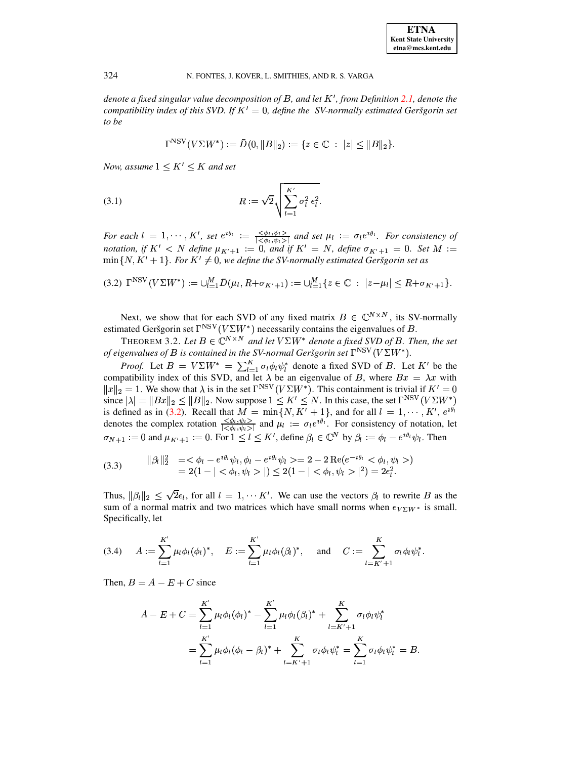denote a fixed singular value decomposition of B, and let  $K'$ , from Definition 2.1, denote the compatibility index of this SVD. If  $K' = 0$ , define the SV-normally estimated Geršgorin set to be

<span id="page-4-2"></span><span id="page-4-0"></span>
$$
\Gamma^{\text{NSV}}(V\Sigma W^*) := \bar{D}(0, \|B\|_2) := \{z \in \mathbb{C} : \|z\| \le \|B\|_2\}.
$$

Now, assume  $1 \leq K' \leq K$  and set

(3.1) 
$$
R := \sqrt{2} \sqrt{\sum_{l=1}^{K'} \sigma_l^2 \epsilon_l^2}.
$$

For each  $l = 1, \dots, K'$ , set  $e^{i\theta_l} := \frac{\langle \phi_l, \psi_l \rangle}{|\langle \phi_l, \psi_l \rangle|}$  and set  $\mu_l := \sigma_l e^{i\theta_l}$ . For consistency of notation, if  $K' < N$  define  $\mu_{K'+1} := 0$ , and if  $K' = N$ , define  $\sigma_{K'+1} = 0$ . Set  $M :=$  $\min\{N, K' + 1\}$ . For  $K' \neq 0$ , we define the SV-normally estimated Geršgorin set as

$$
(3.2)\ \Gamma^{\text{NSV}}(V\Sigma W^*) := \bigcup_{l=1}^M \bar{D}(\mu_l, R + \sigma_{K'+1}) := \bigcup_{l=1}^M \{z \in \mathbb{C} \ : \ |z - \mu_l| \le R + \sigma_{K'+1}\}.
$$

Next, we show that for each SVD of any fixed matrix  $B \in \mathbb{C}^{N \times N}$ , its SV-normally estimated Geršgorin set  $\Gamma^{\text{NSV}}(V\Sigma W^*)$  necessarily contains the eigenvalues of B.

THEOREM 3.2. Let  $B \in \mathbb{C}^{N \times N}$  and let  $V\Sigma W^*$  denote a fixed SVD of B. Then, the set of eigenvalues of B is contained in the SV-normal Geršgorin set  $\Gamma^{NSV}(V\Sigma W^*)$ .

*Proof.* Let  $B = V\Sigma W^* = \sum_{l=1}^K \sigma_l \phi_l \psi_l^*$  denote a fixed SVD of B. Let K' be the compatibility index of this SVD, and let  $\lambda$  be an eigenvalue of B, where  $Bx = \lambda x$  with  $||x||_2 = 1$ . We show that  $\lambda$  is in the set  $\Gamma^{NSV}(V\Sigma W^*)$ . This containment is trivial if  $K' = 0$ since  $|\lambda| = ||Bx||_2 \le ||B||_2$ . Now suppose  $1 \le K' \le N$ . In this case, the set  $\Gamma^{NSV}(V\Sigma W^*)$ is defined as in (3.2). Recall that  $\vec{M} = \min\{N, \vec{K'} + 1\}$ , and for all  $l = 1, \dots, K'$ ,  $e^{i\theta_l}$  denotes the complex rotation  $\frac{\langle \phi_l, \psi_l \rangle}{|\langle \phi_l, \psi_l \rangle|}$  and  $\mu_l := \sigma_l e^{i\theta_l}$ . For consistency of notation, let  $\sigma_{N+1} := 0$  and  $\mu_{K'+1} := 0$ . For  $1 \le l \le K'$ , define  $\beta_l \in \mathbb{C}^N$  by  $\beta_l := \phi_l - e^{i\theta_l}\psi_l$ . Then

<span id="page-4-3"></span>(3.3) 
$$
\begin{aligned} ||\beta_l||_2^2 &= < \phi_l - e^{i\theta_l} \psi_l, \phi_l - e^{i\theta_l} \psi_l \geq 2 - 2 \operatorname{Re}(e^{-i\theta_l} < \phi_l, \psi_l > ) \\ &= 2(1 - | < \phi_l, \psi_l > |) \leq 2(1 - | < \phi_l, \psi_l > |^2) = 2\epsilon_l^2. \end{aligned}
$$

Thus,  $\|\beta_l\|_2 \leq \sqrt{2}\epsilon_l$ , for all  $l = 1, \dots K'$ . We can use the vectors  $\beta_l$  to rewrite B as the sum of a normal matrix and two matrices which have small norms when  $\epsilon_{V\Sigma}w^*$  is small. Specifically, let

<span id="page-4-1"></span>
$$
(3.4) \quad A := \sum_{l=1}^{K'} \mu_l \phi_l(\phi_l)^*, \quad E := \sum_{l=1}^{K'} \mu_l \phi_l(\beta_l)^*, \quad \text{and} \quad C := \sum_{l=K'+1}^{K} \sigma_l \phi_l \psi_l^*.
$$

Then,  $B = A - E + C$  since

$$
A - E + C = \sum_{l=1}^{K'} \mu_l \phi_l (\phi_l)^* - \sum_{l=1}^{K'} \mu_l \phi_l (\beta_l)^* + \sum_{l=K'+1}^{K} \sigma_l \phi_l \psi_l^*
$$
  
= 
$$
\sum_{l=1}^{K'} \mu_l \phi_l (\phi_l - \beta_l)^* + \sum_{l=K'+1}^{K} \sigma_l \phi_l \psi_l^* = \sum_{l=1}^{K} \sigma_l \phi_l \psi_l^* = B.
$$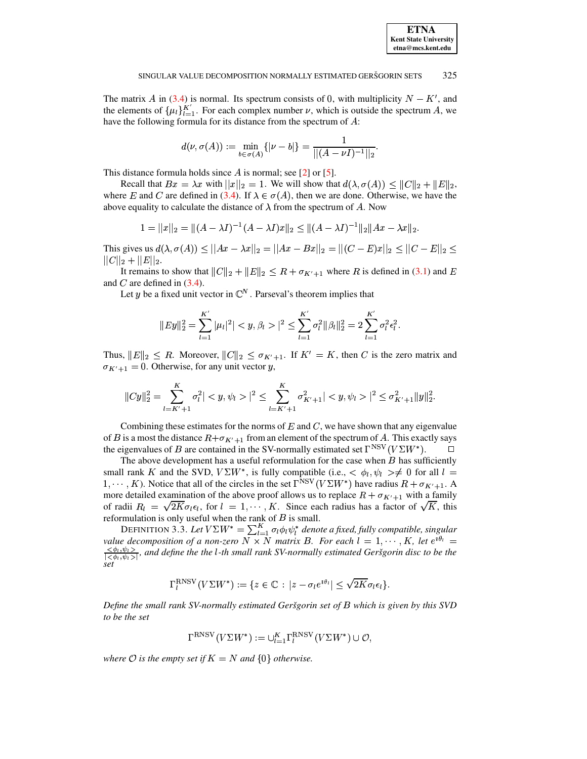The matrix A in (3.4) is normal. Its spectrum consists of 0, with multiplicity  $N - K'$ , and the elements of  $\{\mu_l\}_{l=1}^{K'}$ . For each complex number  $\nu$ , which is outside the spectrum A, we have the following formula for its distance from the spectrum of  $A$ :

$$
d(\nu, \sigma(A)) := \min_{b \in \sigma(A)} \{| \nu - b | \} = \frac{1}{|| (A - \nu I)^{-1} ||_2}
$$

This distance formula holds since A is normal; see  $[2]$  or  $[5]$ .

Recall that  $Bx = \lambda x$  with  $||x||_2 = 1$ . We will show that  $d(\lambda, \sigma(A)) \le ||C||_2 + ||E||_2$ , where E and C are defined in (3.4). If  $\lambda \in \sigma(A)$ , then we are done. Otherwise, we have the above equality to calculate the distance of  $\lambda$  from the spectrum of A. Now

$$
1 = ||x||_2 = ||(A - \lambda I)^{-1}(A - \lambda I)x||_2 \le ||(A - \lambda I)^{-1}||_2||Ax - \lambda x||_2.
$$

This gives us  $d(\lambda, \sigma(A)) < ||Ax - \lambda x||_2 = ||Ax - Bx||_2 = ||(C - E)x||_2 < ||C - E||_2$  $||C||_2 + ||E||_2.$ 

It remains to show that  $||C||_2 + ||E||_2 \le R + \sigma_{K'+1}$  where R is defined in (3.1) and E and  $C$  are defined in  $(3.4)$ .

Let y be a fixed unit vector in  $\mathbb{C}^N$ . Parseval's theorem implies that

$$
||Ey||_2^2 = \sum_{l=1}^{K'} |\mu_l|^2 | < y, \beta_l > |^2 \le \sum_{l=1}^{K'} \sigma_l^2 ||\beta_l||_2^2 = 2 \sum_{l=1}^{K'} \sigma_l^2 \epsilon_l^2.
$$

Thus,  $||E||_2 < R$ . Moreover,  $||C||_2 < \sigma_{K'+1}$ . If  $K' = K$ , then C is the zero matrix and  $\sigma_{K'+1} = 0$ . Otherwise, for any unit vector y,

$$
||Cy||_2^2 = \sum_{l=K'+1}^K \sigma_l^2 | \langle y, \psi_l \rangle|^2 \le \sum_{l=K'+1}^K \sigma_{K'+1}^2 | \langle y, \psi_l \rangle|^2 \le \sigma_{K'+1}^2 ||y||_2^2.
$$

Combining these estimates for the norms of  $E$  and  $C$ , we have shown that any eigenvalue of B is a most the distance  $R + \sigma_{K'+1}$  from an element of the spectrum of A. This exactly says the eigenvalues of B are contained in the SV-normally estimated set  $\Gamma^{NSV}(V\Sigma W^*)$ .  $\Box$ 

The above development has a useful reformulation for the case when  $B$  has sufficiently small rank K and the SVD,  $V\Sigma W^*$ , is fully compatible (i.e.,  $\langle \phi_l, \psi_l \rangle \neq 0$  for all  $l =$ 1, ..., K). Notice that all of the circles in the set  $\Gamma^{NSV}(V\Sigma W^*)$  have radius  $R + \sigma_{K'+1}$ . A more detailed examination of the above proof allows us to replace  $R + \sigma_{K'+1}$  with a family of radii  $R_l = \sqrt{2K}\sigma_l \epsilon_l$ , for  $l = 1, \dots, K$ . Since each radius has a factor of  $\sqrt{K}$ , this reformulation is only useful when the rank of  $B$  is small.

DEFINITION 3.3. Let  $V\Sigma W^* = \sum_{l=1}^K \sigma_l \phi_l \psi_l^*$  denote a fixed, fully compatible, singular value decomposition of a non-zero  $N \times N$  matrix B. For each  $l = 1, \dots, K$ , let  $e^{i\theta_l} =$  $\frac{\langle \phi_1, \psi_1 \rangle}{|\langle \phi_1, \psi_1 \rangle|}$ , and define the the l-th small rank SV-normally estimated Geršgorin disc to be the set

$$
\Gamma_l^{\rm RNSV}(V\Sigma W^*) := \{ z \in \mathbb{C} : |z - \sigma_l e^{i\theta_l}| \leq \sqrt{2K}\sigma_l \epsilon_l \}.
$$

Define the small rank SV-normally estimated Geršgorin set of B which is given by this SVD to be the set

$$
\Gamma^{\rm RNSV}(V\Sigma W^*):=\cup_{l=1}^K\Gamma^{\rm RNSV}_l(V\Sigma W^*)\cup{\mathcal O},
$$

where O is the empty set if  $K = N$  and  $\{0\}$  otherwise.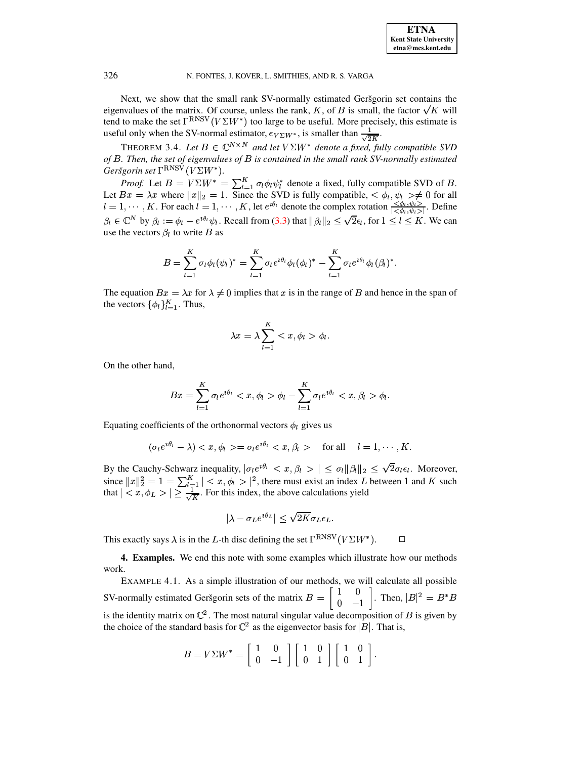Next, we show that the small rank SV-normally estimated Geršgorin set contains the eigenvalues of the matrix. Of course, unless the rank, K, of B is small, the factor  $\sqrt{K}$  will tend to make the set  $\Gamma^{RNSV}(V\Sigma W^*)$  too large to be useful. More precisely, this estimate is useful only when the SV-normal estimator,  $\epsilon_{V\Sigma W^*}$ , is smaller than  $\frac{1}{\sqrt{2K}}$ 

THEOREM 3.4. Let  $B \in \mathbb{C}^{N \times N}$  and let  $V\Sigma W^*$  denote a fixed, fully compatible SVD of  $B$ . Then, the set of eigenvalues of  $B$  is contained in the small rank SV-normally estimated Geršgorin set  $\Gamma^{\rm RNSV}(V\Sigma W^*)$ .

*Proof.* Let  $B = V\Sigma W^* = \sum_{l=1}^K \sigma_l \phi_l \psi_l^*$  denote a fixed, fully compatible SVD of B.<br>Let  $Bx = \lambda x$  where  $||x||_2 = 1$ . Since the SVD is fully compatible,  $\langle \phi_l, \psi_l \rangle \neq 0$  for all  $l = 1, \dots, K$ . For each  $l = 1, \dots, K$ , let  $\beta_l \in \mathbb{C}^N$  by  $\beta_l := \phi_l - e^{i\theta_l}\psi_l$ . Recall from (3.3) that  $\|\beta_l\|_2 \leq \sqrt{2}\epsilon_l$ , for  $1 \leq l \leq K$ . We can use the vectors  $\beta_l$  to write B as

$$
B = \sum_{l=1}^{K} \sigma_l \phi_l(\psi_l)^* = \sum_{l=1}^{K} \sigma_l e^{i\theta_l} \phi_l(\phi_l)^* - \sum_{l=1}^{K} \sigma_l e^{i\theta_l} \phi_l(\beta_l)^*.
$$

The equation  $Bx = \lambda x$  for  $\lambda \neq 0$  implies that x is in the range of B and hence in the span of the vectors  $\{\phi_l\}_{l=1}^K$ . Thus,

$$
\lambda x = \lambda \sum_{l=1}^K < x, \phi_l > \phi_l.
$$

On the other hand,

$$
Bx = \sum_{l=1}^K \sigma_l e^{i\theta_l} < x, \phi_l > \phi_l - \sum_{l=1}^K \sigma_l e^{i\theta_l} < x, \beta_l > \phi_l.
$$

Equating coefficients of the orthonormal vectors  $\phi_l$  gives us

$$
(\sigma_l e^{i\theta_l} - \lambda) < x, \phi_l > = \sigma_l e^{i\theta_l} < x, \beta_l > \quad \text{for all} \quad l = 1, \cdots, K
$$

By the Cauchy-Schwarz inequality,  $|\sigma_l e^{i\theta_l} < x, \beta_l > | \leq \sigma_l ||\beta_l||_2 \leq \sqrt{2}\sigma_l \epsilon_l$ . Moreover, since  $||x||_2^2 = 1 = \sum_{l=1}^K |\langle x, \phi_l \rangle|^2$ , there must exist an index L between 1 and K such that  $|\langle x, \phi_L \rangle| \ge \frac{1}{\sqrt{K}}$ . For this index, the above calculations yield

$$
|\lambda - \sigma_L e^{i\theta_L}| \le \sqrt{2K}\sigma_L \epsilon_L
$$

<span id="page-6-0"></span>This exactly says  $\lambda$  is in the L-th disc defining the set  $\Gamma^{\rm RNSV}(V\Sigma W^*)$ .  $\Box$ 

4. Examples. We end this note with some examples which illustrate how our methods work.

EXAMPLE 4.1. As a simple illustration of our methods, we will calculate all possible SV-normally estimated Geršgorin sets of the matrix  $B = \begin{bmatrix} 1 & 0 \\ 0 & -1 \end{bmatrix}$ . Then,  $|B|^2 = B^*B$ is the identity matrix on  $\mathbb{C}^2$ . The most natural singular value decomposition of B is given by the choice of the standard basis for  $\mathbb{C}^2$  as the eigenvector basis for |B|. That is,

$$
B = V\Sigma W^* = \left[ \begin{array}{cc} 1 & 0 \\ 0 & -1 \end{array} \right] \left[ \begin{array}{cc} 1 & 0 \\ 0 & 1 \end{array} \right] \left[ \begin{array}{cc} 1 & 0 \\ 0 & 1 \end{array} \right].
$$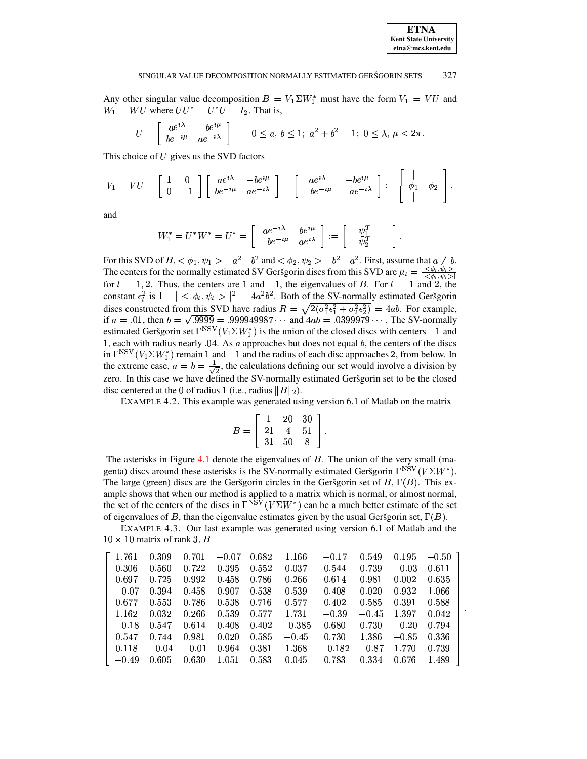## **ETNA Kent State University** etna@mcs.kent.edu

#### SINGULAR VALUE DECOMPOSITION NORMALLY ESTIMATED GERŠGORIN SETS 327

Any other singular value decomposition  $B = V_1 \Sigma W_1^*$  must have the form  $V_1 = VU$  and  $W_1 = WU$  where  $UU^* = U^*U = I_2$ . That is,

$$
U = \begin{bmatrix} a e^{i\lambda} & -b e^{i\mu} \\ b e^{-i\mu} & a e^{-i\lambda} \end{bmatrix} \qquad 0 \le a, \ b \le 1; \ a^2 + b^2 = 1; \ 0 \le \lambda, \ \mu < 2\pi
$$

This choice of  $U$  gives us the SVD factors

$$
V_1 = VU = \begin{bmatrix} 1 & 0 \\ 0 & -1 \end{bmatrix} \begin{bmatrix} ae^{i\lambda} & -be^{i\mu} \\ be^{-i\mu} & ae^{-i\lambda} \end{bmatrix} = \begin{bmatrix} ae^{i\lambda} & -be^{i\mu} \\ -be^{-i\mu} & -ae^{-i\lambda} \end{bmatrix} := \begin{bmatrix} \downarrow & \downarrow \\ \phi_1 & \phi_2 & \downarrow \\ \downarrow & \downarrow \end{bmatrix},
$$

and

$$
W_1^* = U^*W^* = U^* = \begin{bmatrix} ae^{-i\lambda} & be^{i\mu} \\ -be^{-i\mu} & ae^{i\lambda} \end{bmatrix} := \begin{bmatrix} -\bar{\psi}_1^T - \\ -\bar{\psi}_2^T - \end{bmatrix}
$$

For this SVD of  $B, <\phi_1, \psi_1> = a^2-b^2$  and  $<\phi_2, \psi_2> = b^2-a^2$ . First, assume that  $a \neq b$ .<br>The centers for the normally estimated SV Geršgorin discs from this SVD are  $\mu_l = \frac{\langle \phi_l, \psi_l \rangle}{|\langle \phi_l, \psi_l \rangle|}$  for  $l = 1, 2$ . Thu constant  $\epsilon_l^2$  is  $1 - \vert \langle \phi_l, \psi_l \rangle \vert^2 = 4a^2b^2$ . Both of the SV-normally estimated Geršgorin discs constructed from this SVD have radius  $R = \sqrt{2(\sigma_1^2 \epsilon_1^2 + \sigma_2^2 \epsilon_2^2)} = 4ab$ . For example, if  $a = .01$ , then  $b = \sqrt{.9999} = .999949987 \cdots$  and  $4ab = .0399979 \cdots$ . The SV-normally estimated Geršgorin set  $\Gamma^{NSV}(V_1 \Sigma W_1^*)$  is the union of the closed discs with centers -1 and 1, each with radius nearly  $.04$ . As  $a$  approaches but does not equal  $b$ , the centers of the discs in  $\Gamma^{NSV}(V_1 \Sigma W_1^*)$  remain 1 and  $-1$  and the radius of each disc approaches 2, from below. In the extreme case,  $a = b = \frac{1}{\sqrt{2}}$ , the calculations defining our set would involve a division by zero. In this case we have defined the SV-normally estimated Geršgorin set to be the closed disc centered at the 0 of radius 1 (i.e., radius  $||B||_2$ ).

EXAMPLE 4.2. This example was generated using version 6.1 of Matlab on the matrix

$$
B = \left[ \begin{array}{rrr} 1 & 20 & 30 \\ 21 & 4 & 51 \\ 31 & 50 & 8 \end{array} \right].
$$

The asterisks in Figure 4.1 denote the eigenvalues of  $B$ . The union of the very small (magenta) discs around these asterisks is the SV-normally estimated Geršgorin  $\Gamma^{NSV}(V\Sigma W^*)$ . The large (green) discs are the Geršgorin circles in the Geršgorin set of B,  $\Gamma(B)$ . This example shows that when our method is applied to a matrix which is normal, or almost normal, the set of the centers of the discs in  $\Gamma^{NSV}(V\Sigma W^*)$  can be a much better estimate of the set of eigenvalues of B, than the eigenvalue estimates given by the usual Geršgorin set,  $\Gamma(B)$ .

EXAMPLE 4.3. Our last example was generated using version 6.1 of Matlab and the  $10 \times 10$  matrix of rank 3,  $B =$ 

| 1.761   | 0.309   | 0.701   | $-0.07$   | 0.682 | 1.166    | $-0.17$  | 0.549   | 0.195   | $-0.50$ |
|---------|---------|---------|-----------|-------|----------|----------|---------|---------|---------|
| 0.306   | 0.560   | 0.722   | 0.395     | 0.552 | 0.037    | 0.544    | 0.739   | $-0.03$ | 0.611   |
| 0.697   | 0.725   | 0.992   | 0.458     | 0.786 | 0.266    | 0.614    | 0.981   | 0.002   | 0.635   |
| $-0.07$ | 0.394   | 0.458   | 0.907     | 0.538 | 0.539    | 0.408    | 0.020   | 0.932   | 1.066   |
| 0.677   | 0.553   | 0.786   | 0.538     | 0.716 | 0.577    | 0.402    | 0.585   | 0.391   | 0.588   |
| 1.162   | 0.032   | 0.266   | 0.539     | 0.577 | 1.731    | $-0.39$  | $-0.45$ | 1.397   | 0.042   |
| $-0.18$ | 0.547   | 0.614   | 0.408     | 0.402 | $-0.385$ | 0.680    | 0.730   | $-0.20$ | 0.794   |
| 0.547   | 0.744   | 0.981   | 0.020     | 0.585 | $-0.45$  | 0.730    | 1.386   | $-0.85$ | 0.336   |
| 0.118   | $-0.04$ | $-0.01$ | 0.964     | 0.381 | 1.368    | $-0.182$ | $-0.87$ | 1.770   | 0.739   |
| $-0.49$ | 0.605   | 0.630   | $1.051\,$ | 0.583 | 0.045    | 0.783    | 0.334   | 0.676   | 1.489   |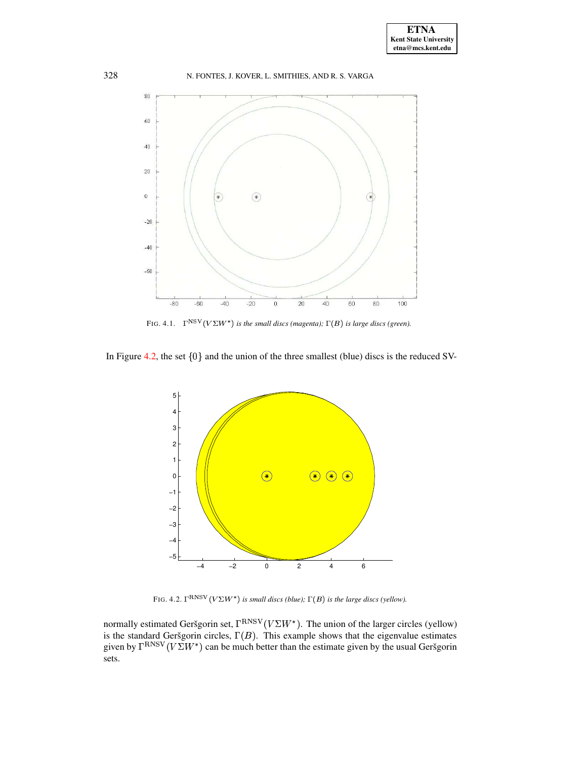

FIG. 4.1.  $\Gamma^{NSV}(V\Sigma W^*)$  *is the small discs (magenta);*  $\Gamma(B)$  *is large discs (green).* 

<span id="page-8-0"></span>In Figure [4.2,](#page-8-1) the set  $\{0\}$  and the union of the three smallest (blue) discs is the reduced SV-



FIG. 4.2.  $\Gamma^{RNSV}(V\Sigma W^*)$  *is small discs (blue);*  $\Gamma(B)$  *is the large discs (yellow).* 

<span id="page-8-1"></span>normally estimated Geršgorin set,  $\Gamma^{RNSV}(V\Sigma W^*)$ . The union of the larger circles (yellow) is the standard Geršgorin circles,  $\Gamma(B)$ . This example shows that the eigenvalue estimates given by  $\Gamma^{\rm RNSV}(V\Sigma W^*)$  can be much better than the estimate given by the usual Geršgorin sets.